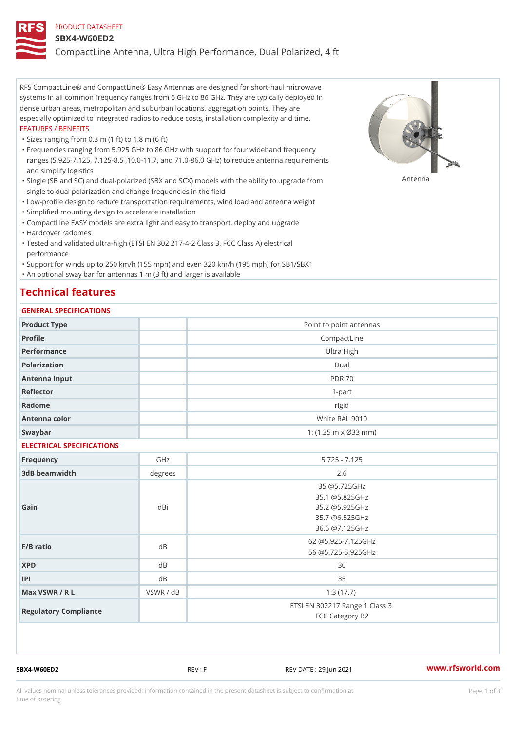#### PRODUCT DATASHEET

#### SBX4-W60ED2

CompactLine Antenna, Ultra High Performance, Dual Polarized, 4 ft

RFS CompactLine® and CompactLine® Easy Antennas are designed for short-haul microwave systems in all common frequency ranges from 6 GHz to 86 GHz. They are typically deployed in dense urban areas, metropolitan and suburban locations, aggregation points. They are especially optimized to integrated radios to reduce costs, installation complexity and time. FEATURES / BENEFITS

"Sizes ranging from 0.3 m (1 ft) to 1.8 m (6 ft)

Frequencies ranging from 5.925 GHz to 86 GHz with support for four wideband frequency " ranges (5.925-7.125, 7.125-8.5 ,10.0-11.7, and 71.0-86.0 GHz) to reduce antenna requirements and simplify logistics

"Single (SB and SC) and dual-polarized (SBX and SCX) models with the abili $\mathsf{f} \gamma^{\mathsf{n}} \mathsf{t} \mathsf{B}^{\mathsf{n}} \mathsf{u} \mathsf{p} \mathsf{B}$ grade from single to dual polarization and change frequencies in the field

"Low-profile design to reduce transportation requirements, wind load and antenna weight

"Simplified mounting design to accelerate installation

 "CompactLine EASY models are extra light and easy to transport, deploy and upgrade "Hardcover radomes

Tested and validated ultra-high (ETSI EN 302 217-4-2 Class 3, FCC Class A) electrical " performance

 "Support for winds up to 250 km/h (155 mph) and even 320 km/h (195 mph) for SB1/SBX1 "An optional sway bar for antennas 1 m (3 ft) and larger is available

# Technical features

### GENERAL SPECIFICATIONS

| OLINLINAL OI LOII IOAIIOINO |           |                                                                                      |  |  |
|-----------------------------|-----------|--------------------------------------------------------------------------------------|--|--|
| Product Type                |           | Point to point antennas                                                              |  |  |
| Profile                     |           | CompactLine                                                                          |  |  |
| Performance                 |           | Ultra High                                                                           |  |  |
| Polarization                |           | $D$ ual                                                                              |  |  |
| Antenna Input               |           | <b>PDR 70</b>                                                                        |  |  |
| Reflector                   |           | $1 - p$ art                                                                          |  |  |
| Radome                      |           | rigid                                                                                |  |  |
| Antenna color               |           | White RAL 9010                                                                       |  |  |
| Swaybar                     |           | 1: $(1.35 m \times 033 m)$                                                           |  |  |
| ELECTRICAL SPECIFICATIONS   |           |                                                                                      |  |  |
| Frequency                   | GHz       | $5.725 - 7.125$                                                                      |  |  |
| 3dB beamwidth               | degree:   | 2.6                                                                                  |  |  |
| Gain                        | dBi       | 35 @5.725GHz<br>35.1 @5.825GHz<br>35.2 @5.925GHz<br>35.7 @6.525GHz<br>36.6 @7.125GHz |  |  |
| $F/B$ ratio                 | d B       | 62 @5.925-7.125GHz<br>56 @5.725-5.925GHz                                             |  |  |
| <b>XPD</b>                  | $d$ B     | 30                                                                                   |  |  |
| P                           | $d$ B     | 35                                                                                   |  |  |
| Max VSWR / R L              | VSWR / dB | 1.3(17.7)                                                                            |  |  |
| Regulatory Compliance       |           | ETSI EN 302217 Range 1 Class 3<br>FCC Category B2                                    |  |  |

SBX4-W60ED2 REV : F REV DATE : 29 Jun 2021 WWW.rfsworld.com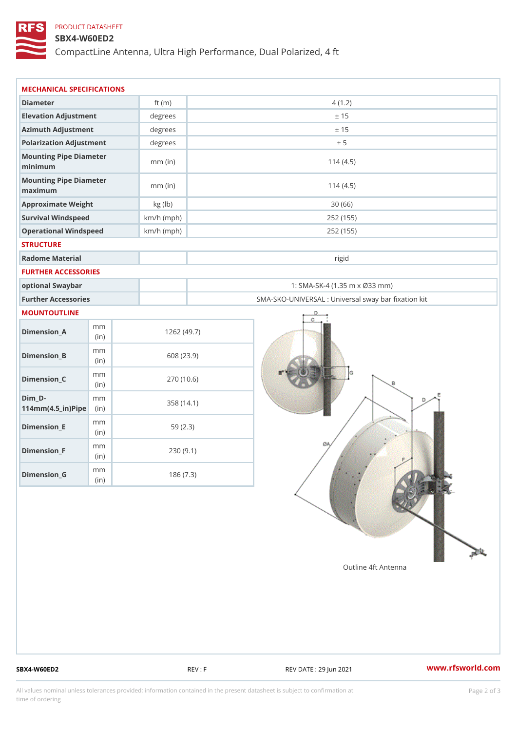## PRODUCT DATASHEET

### SBX4-W60ED2

CompactLine Antenna, Ultra High Performance, Dual Polarized, 4 ft

| MECHANICAL SPECIFICATIONS                                  |              |                                                   |  |  |  |  |
|------------------------------------------------------------|--------------|---------------------------------------------------|--|--|--|--|
| Diameter                                                   | ft $(m)$     | 4(1.2)                                            |  |  |  |  |
| Elevation Adjustment                                       | degrees      | ± 15                                              |  |  |  |  |
| Azimuth Adjustment                                         | degrees      | ± 15                                              |  |  |  |  |
| Polarization Adjustment                                    | degrees      | ± 5                                               |  |  |  |  |
| Mounting Pipe Diameter<br>minimum                          | $mm$ (in)    | 114(4.5)                                          |  |  |  |  |
| Mounting Pipe Diameter<br>maximum                          | $mm$ (in)    | 114(4.5)                                          |  |  |  |  |
| Approximate Weight                                         | kg (lb)      | 30(66)                                            |  |  |  |  |
| Survival Windspeed                                         | $km/h$ (mph) | 252 (155)                                         |  |  |  |  |
| Operational Windspeed                                      | $km/h$ (mph) | 252 (155)                                         |  |  |  |  |
| <b>STRUCTURE</b>                                           |              |                                                   |  |  |  |  |
| Radome Material                                            |              | rigid                                             |  |  |  |  |
| FURTHER ACCESSORIES                                        |              |                                                   |  |  |  |  |
| optional Swaybar                                           |              | 1: SMA-SK-4 (1.35 m x Ø33 mm)                     |  |  |  |  |
| Further Accessories                                        |              | SMA-SKO-UNIVERSAL : Universal sway bar fixation l |  |  |  |  |
| MOUNTOUTLINE                                               |              |                                                   |  |  |  |  |
| m m<br>$Dimension_A$<br>(in)                               |              | 1262(49.7)                                        |  |  |  |  |
| m m<br>$Dimension_B$<br>(i n)                              |              | 608 (23.9)                                        |  |  |  |  |
| m m<br>$Dimension_C$<br>(i n)                              |              | 270(10.6)                                         |  |  |  |  |
| $Dim_D -$<br>m m<br>$114$ m m $(4.5$ _ ir $)$ $R$ ii p $e$ |              | 358 (14.1)                                        |  |  |  |  |
| m m<br>$Dimension$ = E<br>(in)                             |              | 59(2.3)                                           |  |  |  |  |
| m m<br>$Dimension_F$<br>(in)                               |              | 230(9.1)                                          |  |  |  |  |
| m m<br>$D$ imension $_G$<br>(in)                           |              | 186(7.3)                                          |  |  |  |  |

SBX4-W60ED2 REV : F REV : REV DATE : 29 Jun 2021 WWW.rfsworld.com